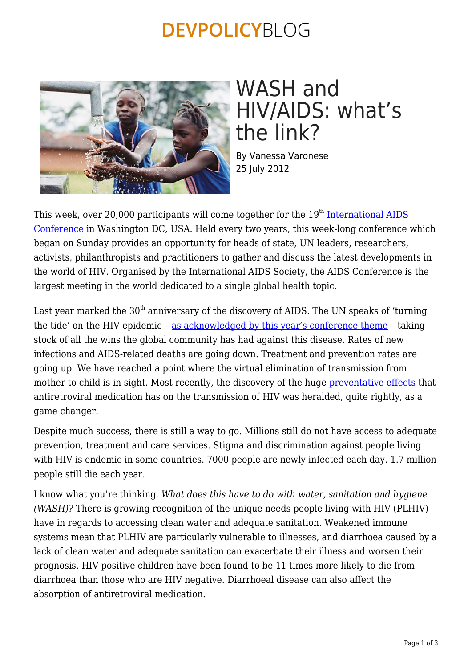### **DEVPOLICYBLOG**



# WASH and HIV/AIDS: what's the link?

By Vanessa Varonese 25 July 2012

This week, over 20,000 participants will come together for the  $19<sup>th</sup>$  [International AIDS](http://www.aids2012.org/) [Conference](http://www.aids2012.org/) in Washington DC, USA. Held every two years, this week-long conference which began on Sunday provides an opportunity for heads of state, UN leaders, researchers, activists, philanthropists and practitioners to gather and discuss the latest developments in the world of HIV. Organised by the International AIDS Society, the AIDS Conference is the largest meeting in the world dedicated to a single global health topic.

Last year marked the  $30<sup>th</sup>$  anniversary of the discovery of AIDS. The UN speaks of 'turning the tide' on the HIV epidemic – [as acknowledged by this year's conference theme](http://www.aids2012.org/Default.aspx?pageId=305) – taking stock of all the wins the global community has had against this disease. Rates of new infections and AIDS-related deaths are going down. Treatment and prevention rates are going up. We have reached a point where the virtual elimination of transmission from mother to child is in sight. Most recently, the discovery of the huge [preventative effects](http://www.nejm.org/doi/full/10.1056/NEJMoa1105243) that antiretroviral medication has on the transmission of HIV was heralded, quite rightly, as a game changer.

Despite much success, there is still a way to go. Millions still do not have access to adequate prevention, treatment and care services. Stigma and discrimination against people living with HIV is endemic in some countries. 7000 people are newly infected each day. 1.7 million people still die each year.

I know what you're thinking. *What does this have to do with water, sanitation and hygiene (WASH)?* There is growing recognition of the unique needs people living with HIV (PLHIV) have in regards to accessing clean water and adequate sanitation. Weakened immune systems mean that PLHIV are particularly vulnerable to illnesses, and diarrhoea caused by a lack of clean water and adequate sanitation can exacerbate their illness and worsen their prognosis. HIV positive children have been found to be 11 times more likely to die from diarrhoea than those who are HIV negative. Diarrhoeal disease can also affect the absorption of antiretroviral medication.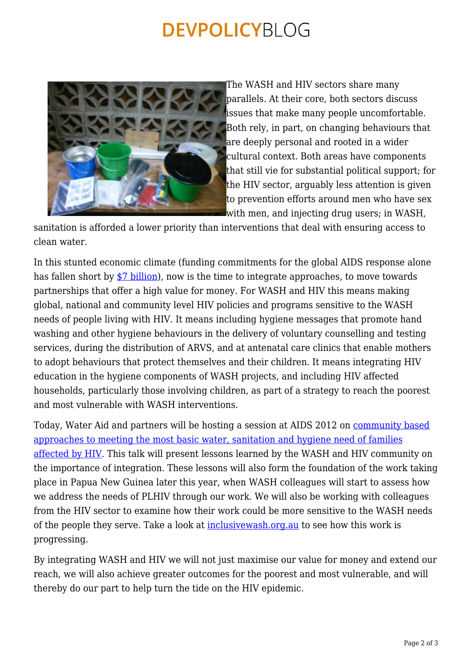### **DEVPOLICYBLOG**



The WASH and HIV sectors share many [p](https://devpolicy.org/wash-and-hivaids-whats-the-link/at-centre-mt-gahavisuka/)arallels. At their core, both sectors discuss issues that make many people uncomfortable. Both rely, in part, on changing behaviours that are deeply personal and rooted in a wider cultural context. Both areas have components that still vie for substantial political support; for the HIV sector, arguably less attention is given to prevention efforts around men who have sex with men, and injecting drug users; in WASH,

sanitation is afforded a lower priority than interventions that deal with ensuring access to clean water.

In this stunted economic climate (funding commitments for the global AIDS response alone has fallen short by [\\$7 billion\)](http://www.unaids.org/en/media/unaids/contentassets/documents/epidemiology/2012/20120718_togetherwewillendaids_en.pdf), now is the time to integrate approaches, to move towards partnerships that offer a high value for money. For WASH and HIV this means making global, national and community level HIV policies and programs sensitive to the WASH needs of people living with HIV. It means including hygiene messages that promote hand washing and other hygiene behaviours in the delivery of voluntary counselling and testing services, during the distribution of ARVS, and at antenatal care clinics that enable mothers to adopt behaviours that protect themselves and their children. It means integrating HIV education in the hygiene components of WASH projects, and including HIV affected households, particularly those involving children, as part of a strategy to reach the poorest and most vulnerable with WASH interventions.

Today, Water Aid and partners will be hosting a session at AIDS 2012 on [community based](http://pag.aids2012.org/session.aspx?s=399) [approaches to meeting the most basic water, sanitation and hygiene need of families](http://pag.aids2012.org/session.aspx?s=399) [affected by HIV](http://pag.aids2012.org/session.aspx?s=399). This talk will present lessons learned by the WASH and HIV community on the importance of integration. These lessons will also form the foundation of the work taking place in Papua New Guinea later this year, when WASH colleagues will start to assess how we address the needs of PLHIV through our work. We will also be working with colleagues from the HIV sector to examine how their work could be more sensitive to the WASH needs of the people they serve. Take a look at [inclusivewash.org.au](http://www.inclusivewash.org.au/) to see how this work is progressing.

By integrating WASH and HIV we will not just maximise our value for money and extend our reach, we will also achieve greater outcomes for the poorest and most vulnerable, and will thereby do our part to help turn the tide on the HIV epidemic.